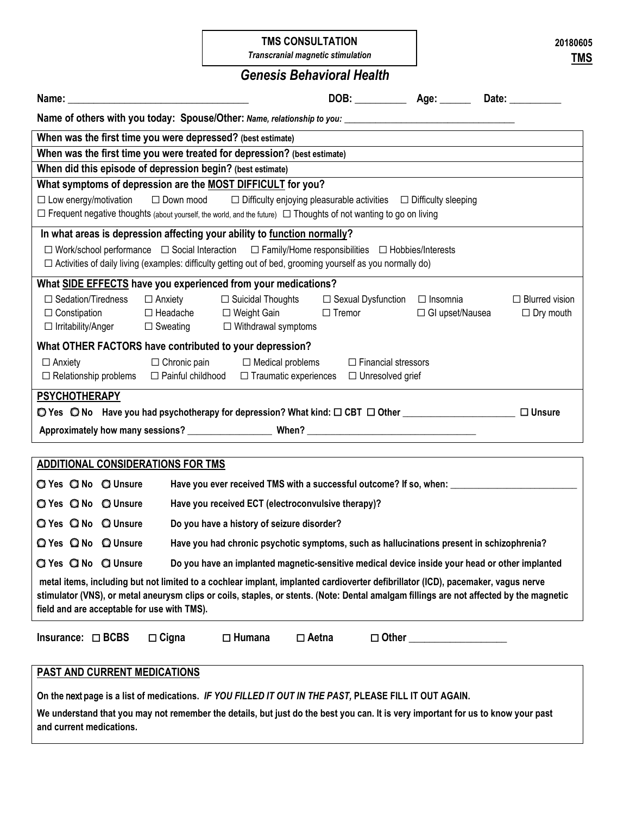#### **TMS CONSULTATION**

*Transcranial magnetic stimulation*

# *Genesis Behavioral Health*

| DOB: _________________ Age: ___________ Date: _____________<br>Name:                                                                                                                                                                                                                                                       |  |  |  |  |  |  |  |
|----------------------------------------------------------------------------------------------------------------------------------------------------------------------------------------------------------------------------------------------------------------------------------------------------------------------------|--|--|--|--|--|--|--|
| Name of others with you today: Spouse/Other: Name, relationship to you: ____________________________                                                                                                                                                                                                                       |  |  |  |  |  |  |  |
| When was the first time you were depressed? (best estimate)                                                                                                                                                                                                                                                                |  |  |  |  |  |  |  |
| When was the first time you were treated for depression? (best estimate)                                                                                                                                                                                                                                                   |  |  |  |  |  |  |  |
| When did this episode of depression begin? (best estimate)                                                                                                                                                                                                                                                                 |  |  |  |  |  |  |  |
| What symptoms of depression are the MOST DIFFICULT for you?                                                                                                                                                                                                                                                                |  |  |  |  |  |  |  |
| $\Box$ Down mood $\Box$ Difficulty enjoying pleasurable activities $\Box$ Difficulty sleeping<br>$\Box$ Low energy/motivation                                                                                                                                                                                              |  |  |  |  |  |  |  |
| $\Box$ Frequent negative thoughts (about yourself, the world, and the future) $\Box$ Thoughts of not wanting to go on living                                                                                                                                                                                               |  |  |  |  |  |  |  |
| In what areas is depression affecting your ability to function normally?                                                                                                                                                                                                                                                   |  |  |  |  |  |  |  |
| $\Box$ Work/school performance $\Box$ Social Interaction $\Box$ Family/Home responsibilities $\Box$ Hobbies/Interests                                                                                                                                                                                                      |  |  |  |  |  |  |  |
| $\Box$ Activities of daily living (examples: difficulty getting out of bed, grooming yourself as you normally do)                                                                                                                                                                                                          |  |  |  |  |  |  |  |
| What SIDE EFFECTS have you experienced from your medications?                                                                                                                                                                                                                                                              |  |  |  |  |  |  |  |
| $\Box$ Sedation/Tiredness<br>□ Suicidal Thoughts<br>$\Box$ Anxiety<br>□ Sexual Dysfunction<br>$\Box$ Insomnia<br>$\Box$ Blurred vision                                                                                                                                                                                     |  |  |  |  |  |  |  |
| $\Box$ Headache $\Box$ Weight Gain<br>$\Box$ Constipation<br>$\Box$ Tremor<br>□ GI upset/Nausea<br>$\Box$ Dry mouth                                                                                                                                                                                                        |  |  |  |  |  |  |  |
| $\Box$ Sweating $\Box$ Withdrawal symptoms<br>□ Irritability/Anger                                                                                                                                                                                                                                                         |  |  |  |  |  |  |  |
| What OTHER FACTORS have contributed to your depression?                                                                                                                                                                                                                                                                    |  |  |  |  |  |  |  |
| $\Box$ Chronic pain $\Box$ Medical problems<br>$\Box$ Financial stressors<br>$\Box$ Anxiety                                                                                                                                                                                                                                |  |  |  |  |  |  |  |
| $\Box$ Relationship problems<br>□ Painful childhood<br>$\Box$ Traumatic experiences<br>$\Box$ Unresolved grief                                                                                                                                                                                                             |  |  |  |  |  |  |  |
| <b>PSYCHOTHERAPY</b>                                                                                                                                                                                                                                                                                                       |  |  |  |  |  |  |  |
| ◯ Yes ◯ No Have you had psychotherapy for depression? What kind: □ CBT □ Other ____________________<br>$\Box$ Unsure                                                                                                                                                                                                       |  |  |  |  |  |  |  |
|                                                                                                                                                                                                                                                                                                                            |  |  |  |  |  |  |  |
|                                                                                                                                                                                                                                                                                                                            |  |  |  |  |  |  |  |
| ADDITIONAL CONSIDERATIONS FOR TMS                                                                                                                                                                                                                                                                                          |  |  |  |  |  |  |  |
| Have you ever received TMS with a successful outcome? If so, when:<br>◯ Yes ◯ No ◯ Unsure                                                                                                                                                                                                                                  |  |  |  |  |  |  |  |
| Have you received ECT (electroconvulsive therapy)?<br>○ Yes ○ No ○ Unsure                                                                                                                                                                                                                                                  |  |  |  |  |  |  |  |
| Q Yes Q No Q Unsure<br>Do you have a history of seizure disorder?                                                                                                                                                                                                                                                          |  |  |  |  |  |  |  |
| Q Yes Q No Q Unsure<br>Have you had chronic psychotic symptoms, such as hallucinations present in schizophrenia?                                                                                                                                                                                                           |  |  |  |  |  |  |  |
| <b>Q</b> Yes <b>Q</b> No <b>Q</b> Unsure<br>Do you have an implanted magnetic-sensitive medical device inside your head or other implanted                                                                                                                                                                                 |  |  |  |  |  |  |  |
| metal items, including but not limited to a cochlear implant, implanted cardioverter defibrillator (ICD), pacemaker, vagus nerve<br>stimulator (VNS), or metal aneurysm clips or coils, staples, or stents. (Note: Dental amalgam fillings are not affected by the magnetic<br>field and are acceptable for use with TMS). |  |  |  |  |  |  |  |
| $\Box$ Humana<br>$\square$ Aetna<br>Insurance: $\Box$ BCBS<br>$\Box$ Cigna<br>$\Box$ Other                                                                                                                                                                                                                                 |  |  |  |  |  |  |  |
| <b>PAST AND CURRENT MEDICATIONS</b>                                                                                                                                                                                                                                                                                        |  |  |  |  |  |  |  |
| On the next page is a list of medications. IF YOU FILLED IT OUT IN THE PAST, PLEASE FILL IT OUT AGAIN.                                                                                                                                                                                                                     |  |  |  |  |  |  |  |
| We understand that you may not remember the details, but just do the best you can. It is very important for us to know your past<br>and current medications.                                                                                                                                                               |  |  |  |  |  |  |  |

**20180605 TMS** 

|  | ٠<br>۰. |  |
|--|---------|--|
|  |         |  |